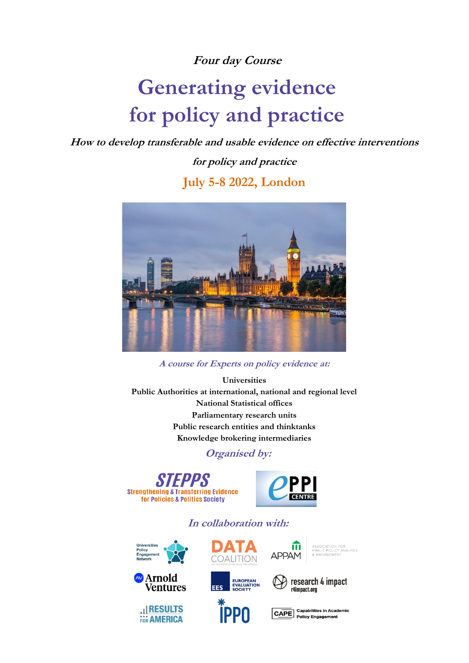### **Four day Course**

# **Generating evidence for policy and practice**

**How to develop transferable and usable evidence on effective interventions** 

**for policy and practice**

**July 5-8 2022, London**



**A course for Experts on policy evidence at:**

**Universities Public Authorities at international, national and regional level National Statistical offices Parliamentary research units Public research entities and thinktanks Knowledge brokering intermediaries**

**Organised by:**





ίīι

**APPAM** 

**In collaboration with:** 





**HI RESULTS**<br>FOR AMERICA



research 4 impact<br>r4impact.org

ASSOCIATION FOR<br>PUBLIC POLICY ANALYSIS<br>& MANAGEMENT



CAPE Capabilities in Academic<br>Policy Engagement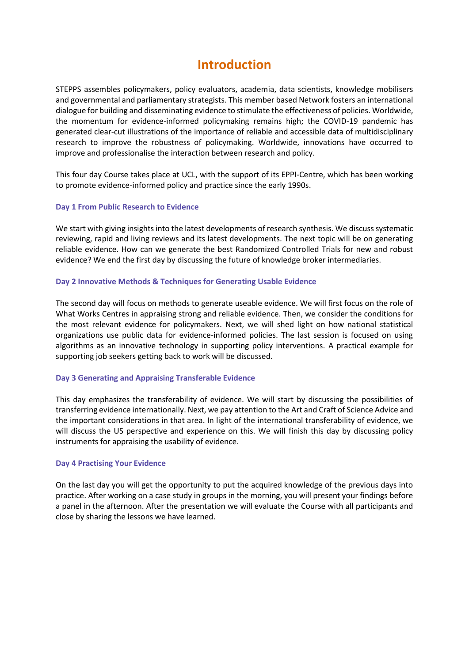## **Introduction**

STEPPS assembles policymakers, policy evaluators, academia, data scientists, knowledge mobilisers and governmental and parliamentary strategists. This member based Network fosters an international dialogue for building and disseminating evidence to stimulate the effectiveness of policies. Worldwide, the momentum for evidence-informed policymaking remains high; the COVID-19 pandemic has generated clear-cut illustrations of the importance of reliable and accessible data of multidisciplinary research to improve the robustness of policymaking. Worldwide, innovations have occurred to improve and professionalise the interaction between research and policy.

This four day Course takes place at UCL, with the support of its EPPI-Centre, which has been working to promote evidence-informed policy and practice since the early 1990s.

#### **Day 1 From Public Research to Evidence**

We start with giving insights into the latest developments of research synthesis. We discuss systematic reviewing, rapid and living reviews and its latest developments. The next topic will be on generating reliable evidence. How can we generate the best Randomized Controlled Trials for new and robust evidence? We end the first day by discussing the future of knowledge broker intermediaries.

#### **Day 2 Innovative Methods & Techniques for Generating Usable Evidence**

The second day will focus on methods to generate useable evidence. We will first focus on the role of What Works Centres in appraising strong and reliable evidence. Then, we consider the conditions for the most relevant evidence for policymakers. Next, we will shed light on how national statistical organizations use public data for evidence-informed policies. The last session is focused on using algorithms as an innovative technology in supporting policy interventions. A practical example for supporting job seekers getting back to work will be discussed.

#### **Day 3 Generating and Appraising Transferable Evidence**

This day emphasizes the transferability of evidence. We will start by discussing the possibilities of transferring evidence internationally. Next, we pay attention to the Art and Craft of Science Advice and the important considerations in that area. In light of the international transferability of evidence, we will discuss the US perspective and experience on this. We will finish this day by discussing policy instruments for appraising the usability of evidence.

#### **Day 4 Practising Your Evidence**

On the last day you will get the opportunity to put the acquired knowledge of the previous days into practice. After working on a case study in groups in the morning, you will present your findings before a panel in the afternoon. After the presentation we will evaluate the Course with all participants and close by sharing the lessons we have learned.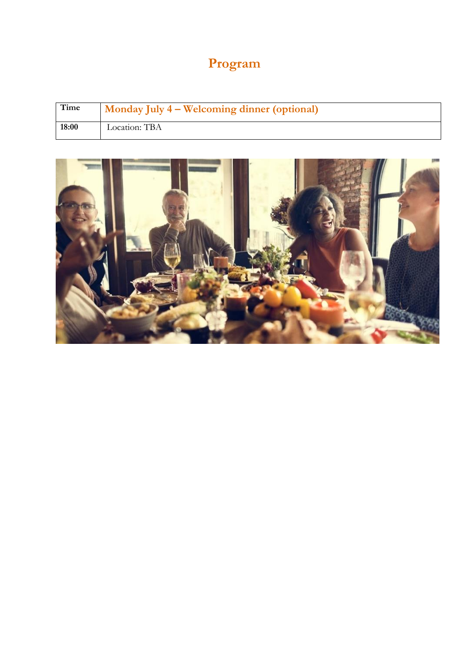## **Program**

| Time  | Monday July 4 – Welcoming dinner (optional) |
|-------|---------------------------------------------|
| 18:00 | Location: TBA                               |

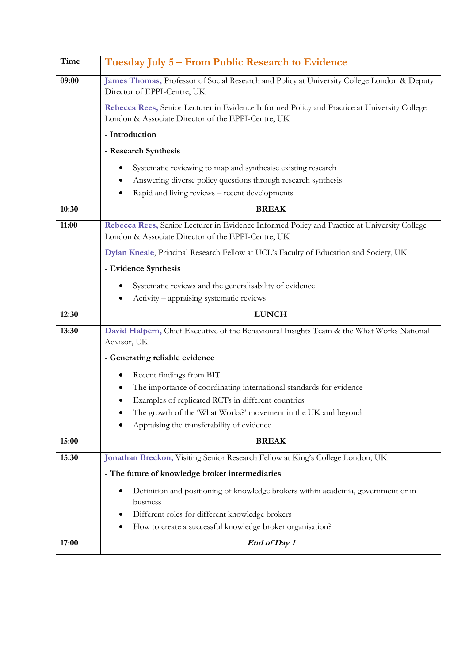| Time  | Tuesday July 5 – From Public Research to Evidence                                                                                                  |
|-------|----------------------------------------------------------------------------------------------------------------------------------------------------|
| 09:00 | James Thomas, Professor of Social Research and Policy at University College London & Deputy<br>Director of EPPI-Centre, UK                         |
|       | Rebecca Rees, Senior Lecturer in Evidence Informed Policy and Practice at University College<br>London & Associate Director of the EPPI-Centre, UK |
|       | - Introduction                                                                                                                                     |
|       | - Research Synthesis                                                                                                                               |
|       | Systematic reviewing to map and synthesise existing research                                                                                       |
|       | Answering diverse policy questions through research synthesis                                                                                      |
|       | Rapid and living reviews - recent developments                                                                                                     |
| 10:30 | <b>BREAK</b>                                                                                                                                       |
| 11:00 | Rebecca Rees, Senior Lecturer in Evidence Informed Policy and Practice at University College<br>London & Associate Director of the EPPI-Centre, UK |
|       | Dylan Kneale, Principal Research Fellow at UCL's Faculty of Education and Society, UK                                                              |
|       | - Evidence Synthesis                                                                                                                               |
|       | Systematic reviews and the generalisability of evidence                                                                                            |
|       | Activity - appraising systematic reviews                                                                                                           |
| 12:30 | <b>LUNCH</b>                                                                                                                                       |
| 13:30 | David Halpern, Chief Executive of the Behavioural Insights Team & the What Works National<br>Advisor, UK                                           |
|       | - Generating reliable evidence                                                                                                                     |
|       | Recent findings from BIT                                                                                                                           |
|       | The importance of coordinating international standards for evidence                                                                                |
|       | Examples of replicated RCTs in different countries                                                                                                 |
|       | The growth of the 'What Works?' movement in the UK and beyond<br>Appraising the transferability of evidence                                        |
|       |                                                                                                                                                    |
| 15:00 | <b>BREAK</b>                                                                                                                                       |
| 15:30 | Jonathan Breckon, Visiting Senior Research Fellow at King's College London, UK                                                                     |
|       | - The future of knowledge broker intermediaries                                                                                                    |
|       | Definition and positioning of knowledge brokers within academia, government or in<br>٠<br>business                                                 |
|       | Different roles for different knowledge brokers<br>٠                                                                                               |
|       | How to create a successful knowledge broker organisation?                                                                                          |
| 17:00 | End of Day 1                                                                                                                                       |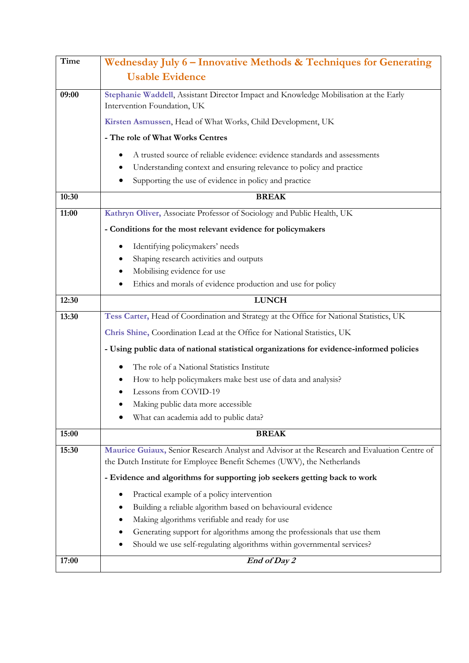| <b>Time</b> | Wednesday July 6 - Innovative Methods & Techniques for Generating                                                   |
|-------------|---------------------------------------------------------------------------------------------------------------------|
|             | <b>Usable Evidence</b>                                                                                              |
|             |                                                                                                                     |
| 09:00       | Stephanie Waddell, Assistant Director Impact and Knowledge Mobilisation at the Early<br>Intervention Foundation, UK |
|             | Kirsten Asmussen, Head of What Works, Child Development, UK                                                         |
|             | - The role of What Works Centres                                                                                    |
|             | A trusted source of reliable evidence: evidence standards and assessments                                           |
|             | Understanding context and ensuring relevance to policy and practice                                                 |
|             | Supporting the use of evidence in policy and practice                                                               |
| 10:30       | <b>BREAK</b>                                                                                                        |
| 11:00       | Kathryn Oliver, Associate Professor of Sociology and Public Health, UK                                              |
|             | - Conditions for the most relevant evidence for policymakers                                                        |
|             | Identifying policymakers' needs                                                                                     |
|             | Shaping research activities and outputs                                                                             |
|             | Mobilising evidence for use                                                                                         |
|             | Ethics and morals of evidence production and use for policy                                                         |
| 12:30       | <b>LUNCH</b>                                                                                                        |
| 13:30       | Tess Carter, Head of Coordination and Strategy at the Office for National Statistics, UK                            |
|             | Chris Shine, Coordination Lead at the Office for National Statistics, UK                                            |
|             | - Using public data of national statistical organizations for evidence-informed policies                            |
|             | The role of a National Statistics Institute                                                                         |
|             | How to help policymakers make best use of data and analysis?                                                        |
|             | Lessons from COVID-19                                                                                               |
|             | Making public data more accessible                                                                                  |
|             | What can academia add to public data?                                                                               |
| 15:00       | <b>BREAK</b>                                                                                                        |
| 15:30       | Maurice Guiaux, Senior Research Analyst and Advisor at the Research and Evaluation Centre of                        |
|             | the Dutch Institute for Employee Benefit Schemes (UWV), the Netherlands                                             |
|             | - Evidence and algorithms for supporting job seekers getting back to work                                           |
|             | Practical example of a policy intervention                                                                          |
|             | Building a reliable algorithm based on behavioural evidence                                                         |
|             | Making algorithms verifiable and ready for use                                                                      |
|             | Generating support for algorithms among the professionals that use them                                             |
|             | Should we use self-regulating algorithms within governmental services?                                              |
| 17:00       | End of Day 2                                                                                                        |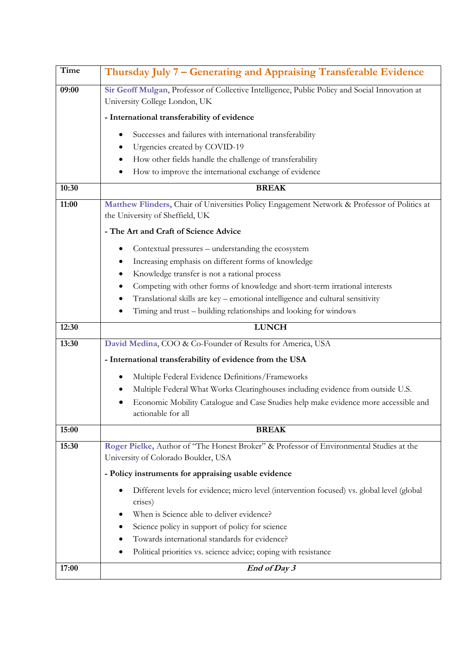| <b>Time</b> | Thursday July 7 - Generating and Appraising Transferable Evidence                                                               |
|-------------|---------------------------------------------------------------------------------------------------------------------------------|
| 09:00       | Sir Geoff Mulgan, Professor of Collective Intelligence, Public Policy and Social Innovation at<br>University College London, UK |
|             | - International transferability of evidence                                                                                     |
|             |                                                                                                                                 |
|             | Successes and failures with international transferability                                                                       |
|             | Urgencies created by COVID-19<br>How other fields handle the challenge of transferability                                       |
|             | How to improve the international exchange of evidence                                                                           |
| 10:30       | <b>BREAK</b>                                                                                                                    |
| 11:00       | Matthew Flinders, Chair of Universities Policy Engagement Network & Professor of Politics at                                    |
|             | the University of Sheffield, UK                                                                                                 |
|             | - The Art and Craft of Science Advice                                                                                           |
|             | Contextual pressures – understanding the ecosystem                                                                              |
|             | Increasing emphasis on different forms of knowledge                                                                             |
|             | Knowledge transfer is not a rational process                                                                                    |
|             | Competing with other forms of knowledge and short-term irrational interests                                                     |
|             | Translational skills are key - emotional intelligence and cultural sensitivity                                                  |
|             | Timing and trust - building relationships and looking for windows                                                               |
|             |                                                                                                                                 |
| 12:30       | <b>LUNCH</b>                                                                                                                    |
| 13:30       | David Medina, COO & Co-Founder of Results for America, USA                                                                      |
|             | - International transferability of evidence from the USA                                                                        |
|             | Multiple Federal Evidence Definitions/Frameworks                                                                                |
|             | Multiple Federal What Works Clearinghouses including evidence from outside U.S.                                                 |
|             | Economic Mobility Catalogue and Case Studies help make evidence more accessible and                                             |
| 15:00       | actionable for all<br><b>BREAK</b>                                                                                              |
|             |                                                                                                                                 |
| 15:30       | Roger Pielke, Author of "The Honest Broker" & Professor of Environmental Studies at the<br>University of Colorado Boulder, USA  |
|             | - Policy instruments for appraising usable evidence                                                                             |
|             | Different levels for evidence; micro level (intervention focused) vs. global level (global<br>$\bullet$                         |
|             | crises)                                                                                                                         |
|             | When is Science able to deliver evidence?                                                                                       |
|             | Science policy in support of policy for science                                                                                 |
|             | Towards international standards for evidence?                                                                                   |
|             | Political priorities vs. science advice; coping with resistance                                                                 |